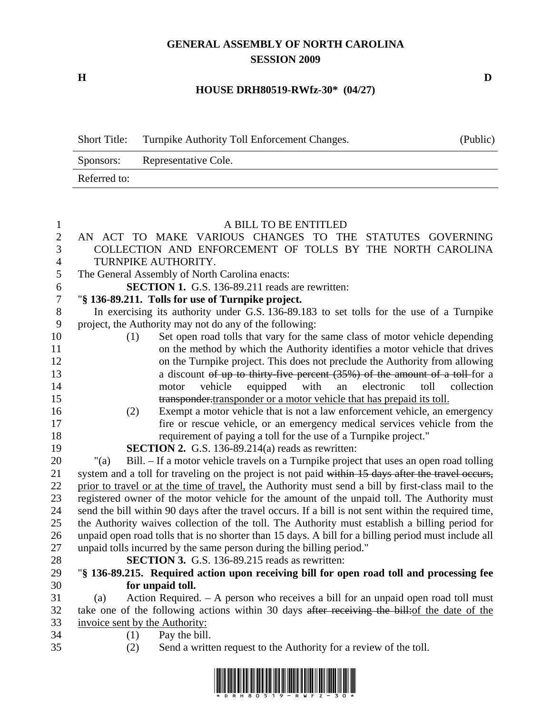## **GENERAL ASSEMBLY OF NORTH CAROLINA SESSION 2009**

**H D** 

## **HOUSE DRH80519-RWfz-30\* (04/27)**

| <b>Short Title:</b> | Turnpike Authority Toll Enforcement Changes. | (Public) |
|---------------------|----------------------------------------------|----------|
|                     | Sponsors: Representative Cole.               |          |
| Referred to:        |                                              |          |

## 1 A BILL TO BE ENTITLED

| $\sqrt{2}$     | AN ACT TO MAKE VARIOUS CHANGES TO THE STATUTES GOVERNING                                              |  |  |  |  |
|----------------|-------------------------------------------------------------------------------------------------------|--|--|--|--|
| 3              | COLLECTION AND ENFORCEMENT OF TOLLS BY THE NORTH CAROLINA                                             |  |  |  |  |
| $\overline{4}$ | TURNPIKE AUTHORITY.                                                                                   |  |  |  |  |
| 5              | The General Assembly of North Carolina enacts:                                                        |  |  |  |  |
| 6              | <b>SECTION 1.</b> G.S. 136-89.211 reads are rewritten:                                                |  |  |  |  |
| $\overline{7}$ | "§ 136-89.211. Tolls for use of Turnpike project.                                                     |  |  |  |  |
| $8\,$          | In exercising its authority under G.S. 136-89.183 to set tolls for the use of a Turnpike              |  |  |  |  |
| 9              | project, the Authority may not do any of the following:                                               |  |  |  |  |
| 10             | Set open road tolls that vary for the same class of motor vehicle depending<br>(1)                    |  |  |  |  |
| 11             | on the method by which the Authority identifies a motor vehicle that drives                           |  |  |  |  |
| 12             | on the Turnpike project. This does not preclude the Authority from allowing                           |  |  |  |  |
| 13             | a discount of up to thirty-five percent $(35%)$ of the amount of a toll-for a                         |  |  |  |  |
| 14             | with<br>electronic<br>toll<br>collection<br>vehicle<br>equipped<br>an<br>motor                        |  |  |  |  |
| 15             | transponder transponder or a motor vehicle that has prepaid its toll.                                 |  |  |  |  |
| 16             | Exempt a motor vehicle that is not a law enforcement vehicle, an emergency<br>(2)                     |  |  |  |  |
| 17             | fire or rescue vehicle, or an emergency medical services vehicle from the                             |  |  |  |  |
| 18             | requirement of paying a toll for the use of a Turnpike project."                                      |  |  |  |  |
| 19             | <b>SECTION 2.</b> G.S. 136-89.214(a) reads as rewritten:                                              |  |  |  |  |
| 20             | Bill. – If a motor vehicle travels on a Turnpike project that uses an open road tolling<br>" $(a)$    |  |  |  |  |
| 21             | system and a toll for traveling on the project is not paid within 15 days after the travel occurs,    |  |  |  |  |
| 22             | prior to travel or at the time of travel, the Authority must send a bill by first-class mail to the   |  |  |  |  |
| 23             | registered owner of the motor vehicle for the amount of the unpaid toll. The Authority must           |  |  |  |  |
| 24             | send the bill within 90 days after the travel occurs. If a bill is not sent within the required time, |  |  |  |  |
| 25             | the Authority waives collection of the toll. The Authority must establish a billing period for        |  |  |  |  |
| 26             | unpaid open road tolls that is no shorter than 15 days. A bill for a billing period must include all  |  |  |  |  |
| 27             | unpaid tolls incurred by the same person during the billing period."                                  |  |  |  |  |
| 28             | SECTION 3. G.S. 136-89.215 reads as rewritten:                                                        |  |  |  |  |
| 29             | "§ 136-89.215. Required action upon receiving bill for open road toll and processing fee              |  |  |  |  |
| 30             | for unpaid toll.                                                                                      |  |  |  |  |
| 31             | Action Required. $-$ A person who receives a bill for an unpaid open road toll must<br>(a)            |  |  |  |  |
| 32             | take one of the following actions within 30 days after receiving the bill: of the date of the         |  |  |  |  |
| 33             | invoice sent by the Authority:                                                                        |  |  |  |  |
| 34             | Pay the bill.<br>(1)                                                                                  |  |  |  |  |
| 35             | (2)<br>Send a written request to the Authority for a review of the toll.                              |  |  |  |  |

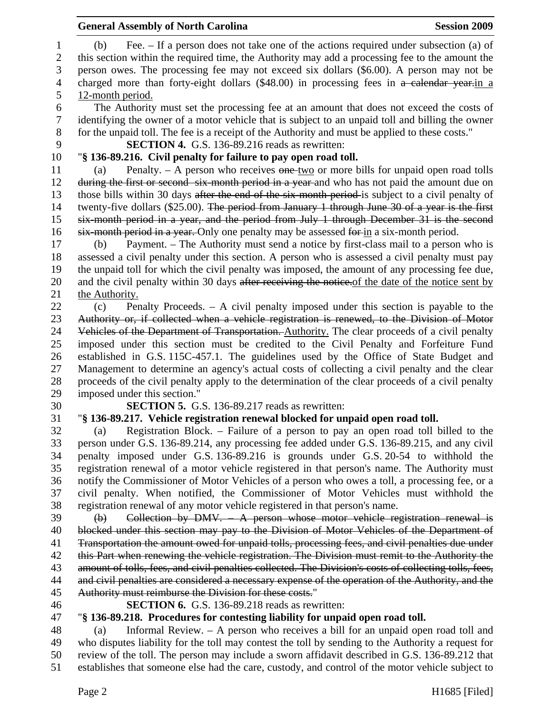|                        | <b>General Assembly of North Carolina</b>                                                                                                                                                                                                                                                       | <b>Session 2009</b> |
|------------------------|-------------------------------------------------------------------------------------------------------------------------------------------------------------------------------------------------------------------------------------------------------------------------------------------------|---------------------|
| $\mathbf{1}$<br>2<br>3 | Fee. – If a person does not take one of the actions required under subsection (a) of<br>(b)<br>this section within the required time, the Authority may add a processing fee to the amount the<br>person owes. The processing fee may not exceed six dollars (\$6.00). A person may not be      |                     |
| 4                      | charged more than forty-eight dollars (\$48.00) in processing fees in a calendar year-in a                                                                                                                                                                                                      |                     |
| 5                      | 12-month period.                                                                                                                                                                                                                                                                                |                     |
| 6<br>$\tau$<br>8       | The Authority must set the processing fee at an amount that does not exceed the costs of<br>identifying the owner of a motor vehicle that is subject to an unpaid toll and billing the owner<br>for the unpaid toll. The fee is a receipt of the Authority and must be applied to these costs." |                     |
| 9                      | <b>SECTION 4.</b> G.S. 136-89.216 reads as rewritten:                                                                                                                                                                                                                                           |                     |
| 10                     | "§ 136-89.216. Civil penalty for failure to pay open road toll.                                                                                                                                                                                                                                 |                     |
| 11                     | Penalty. $-$ A person who receives $\theta$ one-two or more bills for unpaid open road tolls<br>(a)                                                                                                                                                                                             |                     |
| 12                     | during the first or second six-month period in a year and who has not paid the amount due on                                                                                                                                                                                                    |                     |
| 13                     | those bills within 30 days after the end of the six-month period-is subject to a civil penalty of                                                                                                                                                                                               |                     |
| 14                     | twenty-five dollars (\$25.00). The period from January 1 through June 30 of a year is the first                                                                                                                                                                                                 |                     |
| 15                     | six-month period in a year, and the period from July 1 through December 31 is the second                                                                                                                                                                                                        |                     |
| 16                     | six-month period in a year. Only one penalty may be assessed for in a six-month period.                                                                                                                                                                                                         |                     |
| 17                     | Payment. – The Authority must send a notice by first-class mail to a person who is<br>(b)                                                                                                                                                                                                       |                     |
| 18                     | assessed a civil penalty under this section. A person who is assessed a civil penalty must pay                                                                                                                                                                                                  |                     |
| 19                     | the unpaid toll for which the civil penalty was imposed, the amount of any processing fee due,                                                                                                                                                                                                  |                     |
| 20                     | and the civil penalty within 30 days after receiving the notice. of the date of the notice sent by                                                                                                                                                                                              |                     |
| 21                     | the Authority.                                                                                                                                                                                                                                                                                  |                     |
| 22                     | Penalty Proceeds. $-$ A civil penalty imposed under this section is payable to the<br>(c)                                                                                                                                                                                                       |                     |
| 23                     | Authority or, if collected when a vehicle registration is renewed, to the Division of Motor                                                                                                                                                                                                     |                     |
| 24                     | Vehicles of the Department of Transportation. Authority. The clear proceeds of a civil penalty                                                                                                                                                                                                  |                     |
| 25                     | imposed under this section must be credited to the Civil Penalty and Forfeiture Fund                                                                                                                                                                                                            |                     |
| 26                     | established in G.S. 115C-457.1. The guidelines used by the Office of State Budget and                                                                                                                                                                                                           |                     |
| 27                     | Management to determine an agency's actual costs of collecting a civil penalty and the clear                                                                                                                                                                                                    |                     |
| 28                     | proceeds of the civil penalty apply to the determination of the clear proceeds of a civil penalty                                                                                                                                                                                               |                     |
| 29                     | imposed under this section."                                                                                                                                                                                                                                                                    |                     |
| 30                     | <b>SECTION 5.</b> G.S. 136-89.217 reads as rewritten:                                                                                                                                                                                                                                           |                     |
| 31                     | "§ 136-89.217. Vehicle registration renewal blocked for unpaid open road toll.                                                                                                                                                                                                                  |                     |
| 32                     | Registration Block. – Failure of a person to pay an open road toll billed to the<br>(a)                                                                                                                                                                                                         |                     |
| 33                     | person under G.S. 136-89.214, any processing fee added under G.S. 136-89.215, and any civil                                                                                                                                                                                                     |                     |
| 34                     | penalty imposed under G.S. 136-89.216 is grounds under G.S. 20-54 to withhold the                                                                                                                                                                                                               |                     |
| 35                     | registration renewal of a motor vehicle registered in that person's name. The Authority must                                                                                                                                                                                                    |                     |
| 36                     | notify the Commissioner of Motor Vehicles of a person who owes a toll, a processing fee, or a                                                                                                                                                                                                   |                     |
| 37                     | civil penalty. When notified, the Commissioner of Motor Vehicles must withhold the                                                                                                                                                                                                              |                     |
| 38                     | registration renewal of any motor vehicle registered in that person's name.                                                                                                                                                                                                                     |                     |
| 39                     | Collection by DMV. $-$ A person whose motor vehicle registration renewal is<br>$\Theta$                                                                                                                                                                                                         |                     |
| 40                     | blocked under this section may pay to the Division of Motor Vehicles of the Department of                                                                                                                                                                                                       |                     |
| 41                     | Transportation the amount owed for unpaid tolls, processing fees, and civil penalties due under                                                                                                                                                                                                 |                     |
| 42                     | this Part when renewing the vehicle registration. The Division must remit to the Authority the                                                                                                                                                                                                  |                     |
| 43                     | amount of tolls, fees, and civil penalties collected. The Division's costs of collecting tolls, fees,                                                                                                                                                                                           |                     |
| 44                     | and civil penalties are considered a necessary expense of the operation of the Authority, and the                                                                                                                                                                                               |                     |
| 45                     | Authority must reimburse the Division for these costs."                                                                                                                                                                                                                                         |                     |
| 46                     | <b>SECTION 6.</b> G.S. 136-89.218 reads as rewritten:                                                                                                                                                                                                                                           |                     |
| 47                     | "§ 136-89.218. Procedures for contesting liability for unpaid open road toll.                                                                                                                                                                                                                   |                     |
| 48                     | Informal Review. $-$ A person who receives a bill for an unpaid open road toll and<br>(a)                                                                                                                                                                                                       |                     |
| 49                     | who disputes liability for the toll may contest the toll by sending to the Authority a request for                                                                                                                                                                                              |                     |
| 50<br>51               | review of the toll. The person may include a sworn affidavit described in G.S. 136-89.212 that<br>establishes that someone else had the care, custody, and control of the motor vehicle subject to                                                                                              |                     |